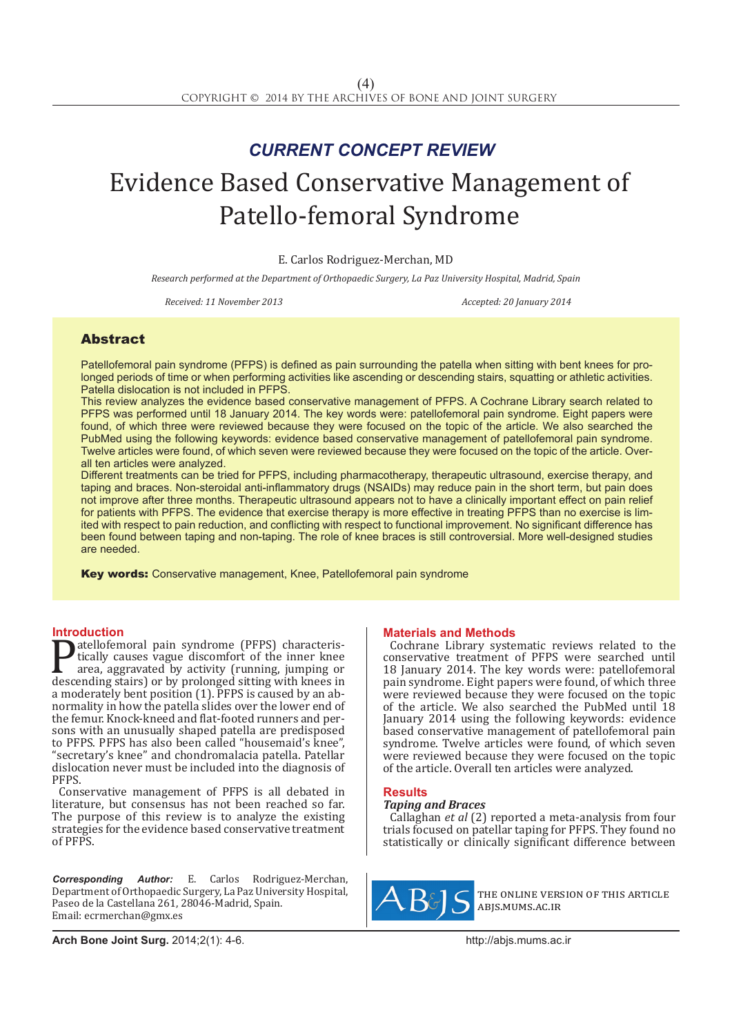## *CURRENT CONCEPT REVIEW*

# Evidence Based Conservative Management of Patello-femoral Syndrome

E. Carlos Rodriguez-Merchan, MD

*Research performed at the Department of Orthopaedic Surgery, La Paz University Hospital, Madrid, Spain*

*Received: 11 November 2013 Accepted: 20 January 2014*

### **Abstract**

Patellofemoral pain syndrome (PFPS) is defined as pain surrounding the patella when sitting with bent knees for prolonged periods of time or when performing activities like ascending or descending stairs, squatting or athletic activities. Patella dislocation is not included in PFPS.

This review analyzes the evidence based conservative management of PFPS. A Cochrane Library search related to PFPS was performed until 18 January 2014. The key words were: patellofemoral pain syndrome. Eight papers were found, of which three were reviewed because they were focused on the topic of the article. We also searched the PubMed using the following keywords: evidence based conservative management of patellofemoral pain syndrome. Twelve articles were found, of which seven were reviewed because they were focused on the topic of the article. Overall ten articles were analyzed.

Different treatments can be tried for PFPS, including pharmacotherapy, therapeutic ultrasound, exercise therapy, and taping and braces. Non-steroidal anti-inflammatory drugs (NSAIDs) may reduce pain in the short term, but pain does not improve after three months. Therapeutic ultrasound appears not to have a clinically important effect on pain relief for patients with PFPS. The evidence that exercise therapy is more effective in treating PFPS than no exercise is limited with respect to pain reduction, and conflicting with respect to functional improvement. No significant difference has been found between taping and non-taping. The role of knee braces is still controversial. More well-designed studies are needed.

Key words: Conservative management, Knee, Patellofemoral pain syndrome

**Introduction**<br>**T**atellofemoral pain syndrome (PFPS) characteris-**Patellofemoral pain syndrome (PFPS) characteris-**<br>tically causes vague discomfort of the inner knee<br>area, aggravated by activity (running, jumping or<br>descending stairs) or by prolonged sitting with knees in<br>a moderately b area, aggravated by activity (running, jumping or descending stairs) or by prolonged sitting with knees in a moderately bent position (1). PFPS is caused by an ab-<br>normality in how the patella slides over the lower end of<br>the femur. Knock-kneed and flat-footed runners and persons with an unusually shaped patella are predisposed to PFPS. PFPS has also been called "housemaid's knee", "secretary's knee" and chondromalacia patella. Patellar dislocation never must be included into the diagnosis of PFPS.

Conservative management of PFPS is all debated in literature, but consensus has not been reached so far. The purpose of this review is to analyze the existing strategies for the evidence based conservative treatment of PFPS.

*Corresponding Author:* E. Carlos Rodriguez-Merchan, Department of Orthopaedic Surgery, La Paz University Hospital, Paseo de la Castellana 261, 28046-Madrid, Spain. Email: ecrmerchan@gmx.es

#### **Materials and Methods**

Cochrane Library systematic reviews related to the conservative treatment of PFPS were searched until 18 January 2014. The key words were: patellofemoral pain syndrome. Eight papers were found, of which three were reviewed because they were focused on the topic of the article. We also searched the PubMed until 18 January 2014 using the following keywords: evidence based conservative management of patellofemoral pain syndrome. Twelve articles were found, of which seven were reviewed because they were focused on the topic of the article. Overall ten articles were analyzed.

#### **Results**

#### *Taping and Braces*

Callaghan *et al* (2) reported a meta-analysis from four trials focused on patellar taping for PFPS. They found no statistically or clinically significant difference between



the online version of this article abjs.mums.ac.ir

**Arch Bone Joint Surg.** 2014;2(1): 4-6.http://abjs.mums.ac.ir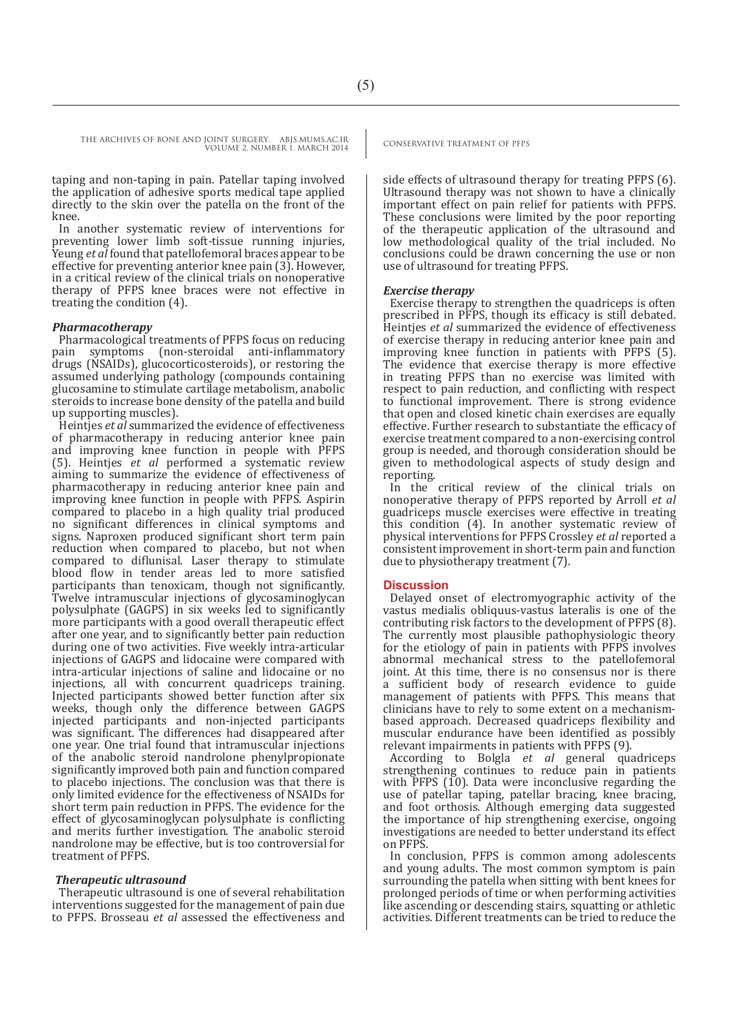THE ARCHIVES OF BONE AND JOINT SURGERY. ABJS.MUMS.AC.IR CONSERVATIVE TREATMENT OF PFPS VOLUME 2. NUMBER 1. MARCH 2014

taping and non-taping in pain. Patellar taping involved the application of adhesive sports medical tape applied directly to the skin over the patella on the front of the knee.

In another systematic review of interventions for preventing lower limb soft-tissue running injuries, Yeung *et al* found that patellofemoral braces appear to be effective for preventing anterior knee pain (3). However, in a critical review of the clinical trials on nonoperative therapy of PFPS knee braces were not effective in treating the condition (4).

#### *Pharmacotherapy*

Pharmacological treatments of PFPS focus on reducing symptoms (non-steroidal anti-inflammatory drugs (NSAIDs), glucocorticosteroids), or restoring the assumed underlying pathology (compounds containing glucosamine to stimulate cartilage metabolism, anabolic steroids to increase bone density of the patella and build up supporting muscles).

Heintjes *et al* summarized the evidence of effectiveness of pharmacotherapy in reducing anterior knee pain and improving knee function in people with PFPS (5). Heintjes *et al* performed a systematic review aiming to summarize the evidence of effectiveness of pharmacotherapy in reducing anterior knee pain and improving knee function in people with PFPS. Aspirin compared to placebo in a high quality trial produced no significant differences in clinical symptoms and signs. Naproxen produced significant short term pain reduction when compared to placebo, but not when compared to diflunisal. Laser therapy to stimulate blood flow in tender areas led to more satisfied participants than tenoxicam, though not significantly. Twelve intramuscular injections of glycosaminoglycan polysulphate (GAGPS) in six weeks led to significantly more participants with a good overall therapeutic effect after one year, and to significantly better pain reduction during one of two activities. Five weekly intra-articular injections of GAGPS and lidocaine were compared with intra-articular injections of saline and lidocaine or no injections, all with concurrent quadriceps training. Injected participants showed better function after six weeks, though only the difference between GAGPS injected participants and non-injected participants was significant. The differences had disappeared after one year. One trial found that intramuscular injections of the anabolic steroid nandrolone phenylpropionate significantly improved both pain and function compared to placebo injections. The conclusion was that there is only limited evidence for the effectiveness of NSAIDs for short term pain reduction in PFPS. The evidence for the effect of glycosaminoglycan polysulphate is conflicting and merits further investigation. The anabolic steroid nandrolone may be effective, but is too controversial for treatment of PFPS.

#### *Therapeutic ultrasound*

Therapeutic ultrasound is one of several rehabilitation interventions suggested for the management of pain due to PFPS. Brosseau *et al* assessed the effectiveness and

side effects of ultrasound therapy for treating PFPS (6). Ultrasound therapy was not shown to have a clinically important effect on pain relief for patients with PFPS. These conclusions were limited by the poor reporting of the therapeutic application of the ultrasound and low methodological quality of the trial included. No conclusions could be drawn concerning the use or non use of ultrasound for treating PFPS.

#### *Exercise therapy*

Exercise therapy to strengthen the quadriceps is often prescribed in PFPS, though its efficacy is still debated. Heintjes *et al* summarized the evidence of effectiveness of exercise therapy in reducing anterior knee pain and improving knee function in patients with PFPS (5). The evidence that exercise therapy is more effective in treating PFPS than no exercise was limited with respect to pain reduction, and conflicting with respect to functional improvement. There is strong evidence that open and closed kinetic chain exercises are equally effective. Further research to substantiate the efficacy of exercise treatment compared to a non-exercising control group is needed, and thorough consideration should be given to methodological aspects of study design and reporting.

In the critical review of the clinical trials on nonoperative therapy of PFPS reported by Arroll *et al*  guadriceps muscle exercises were effective in treating this condition (4). In another systematic review of physical interventions for PFPS Crossley *et al* reported a consistent improvement in short-term pain and function due to physiotherapy treatment (7).

#### **Discussion**

Delayed onset of electromyographic activity of the vastus medialis obliquus-vastus lateralis is one of the contributing risk factors to the development of PFPS (8). The currently most plausible pathophysiologic theory for the etiology of pain in patients with PFPS involves abnormal mechanical stress to the patellofemoral joint. At this time, there is no consensus nor is there a sufficient body of research evidence to guide management of patients with PFPS. This means that clinicians have to rely to some extent on a mechanismbased approach. Decreased quadriceps flexibility and muscular endurance have been identified as possibly relevant impairments in patients with PFPS (9).

According to Bolgla *et al* general quadriceps strengthening continues to reduce pain in patients with PFPS (10). Data were inconclusive regarding the use of patellar taping, patellar bracing, knee bracing, and foot orthosis. Although emerging data suggested the importance of hip strengthening exercise, ongoing investigations are needed to better understand its effect on PFPS.

In conclusion, PFPS is common among adolescents and young adults. The most common symptom is pain surrounding the patella when sitting with bent knees for prolonged periods of time or when performing activities like ascending or descending stairs, squatting or athletic activities. Different treatments can be tried to reduce the